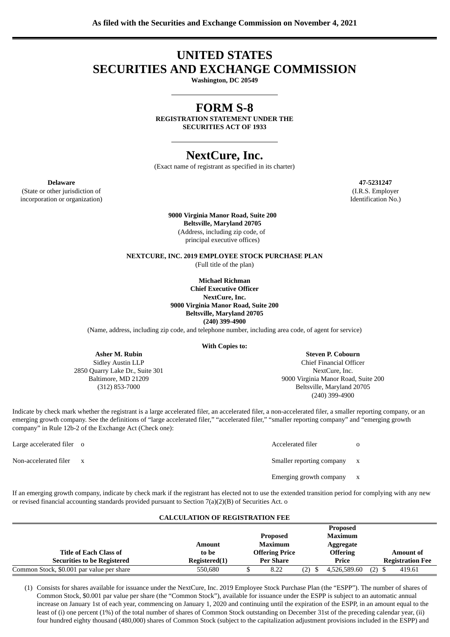# **UNITED STATES SECURITIES AND EXCHANGE COMMISSION**

**Washington, DC 20549**

## **FORM S-8**

**REGISTRATION STATEMENT UNDER THE SECURITIES ACT OF 1933**

## **NextCure, Inc.**

(Exact name of registrant as specified in its charter)

**Delaware 47-5231247** (State or other jurisdiction of incorporation or organization)

(I.R.S. Employer Identification No.)

**9000 Virginia Manor Road, Suite 200 Beltsville, Maryland 20705** (Address, including zip code, of principal executive offices)

**NEXTCURE, INC. 2019 EMPLOYEE STOCK PURCHASE PLAN**

(Full title of the plan)

**Michael Richman Chief Executive Officer NextCure, Inc. 9000 Virginia Manor Road, Suite 200 Beltsville, Maryland 20705 (240) 399-4900**

(Name, address, including zip code, and telephone number, including area code, of agent for service)

#### **With Copies to:**

**Asher M. Rubin** Sidley Austin LLP

2850 Quarry Lake Dr., Suite 301 Baltimore, MD 21209 (312) 853-7000

**Steven P. Cobourn** Chief Financial Officer NextCure, Inc. 9000 Virginia Manor Road, Suite 200 Beltsville, Maryland 20705 (240) 399-4900

Indicate by check mark whether the registrant is a large accelerated filer, an accelerated filer, a non-accelerated filer, a smaller reporting company, or an emerging growth company. See the definitions of "large accelerated filer," "accelerated filer," "smaller reporting company" and "emerging growth company" in Rule 12b-2 of the Exchange Act (Check one):

Large accelerated filer o and a set of  $\alpha$  Accelerated filer o  $\alpha$ Non-accelerated filer x  $\qquad \qquad$  Smaller reporting company x Emerging growth company x

If an emerging growth company, indicate by check mark if the registrant has elected not to use the extended transition period for complying with any new or revised financial accounting standards provided pursuant to Section 7(a)(2)(B) of Securities Act. o

#### **CALCULATION OF REGISTRATION FEE**

|                                           |               |                       |     | <b>Proposed</b> |          |                         |
|-------------------------------------------|---------------|-----------------------|-----|-----------------|----------|-------------------------|
|                                           |               | <b>Proposed</b>       |     | <b>Maximum</b>  |          |                         |
|                                           | Amount        | Maximum               |     | Aggregate       |          |                         |
| <b>Title of Each Class of</b>             | to be         | <b>Offering Price</b> |     | <b>Offering</b> |          | <b>Amount of</b>        |
| <b>Securities to be Registered</b>        | Registered(1) | Per Share             |     | Price           |          | <b>Registration Fee</b> |
| Common Stock, \$0.001 par value per share | 550,680       | 8.22                  | (2) | 4,526,589.60    | $(2)$ \$ | 419.61                  |

(1) Consists for shares available for issuance under the NextCure, Inc. 2019 Employee Stock Purchase Plan (the "ESPP"). The number of shares of Common Stock, \$0.001 par value per share (the "Common Stock"), available for issuance under the ESPP is subject to an automatic annual increase on January 1st of each year, commencing on January 1, 2020 and continuing until the expiration of the ESPP, in an amount equal to the least of (i) one percent (1%) of the total number of shares of Common Stock outstanding on December 31st of the preceding calendar year, (ii) four hundred eighty thousand (480,000) shares of Common Stock (subject to the capitalization adjustment provisions included in the ESPP) and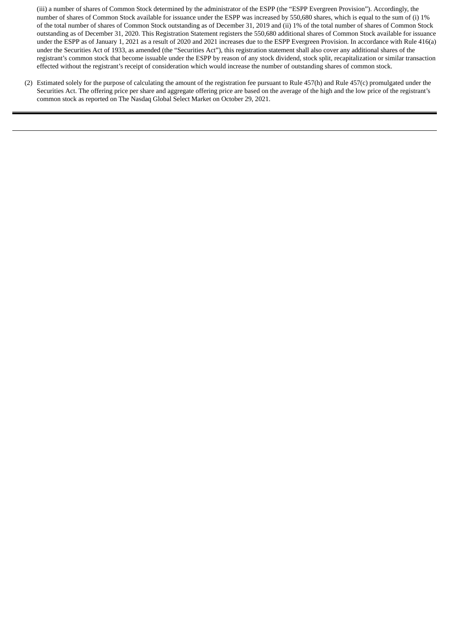(iii) a number of shares of Common Stock determined by the administrator of the ESPP (the "ESPP Evergreen Provision"). Accordingly, the number of shares of Common Stock available for issuance under the ESPP was increased by 550,680 shares, which is equal to the sum of (i) 1% of the total number of shares of Common Stock outstanding as of December 31, 2019 and (ii) 1% of the total number of shares of Common Stock outstanding as of December 31, 2020. This Registration Statement registers the 550,680 additional shares of Common Stock available for issuance under the ESPP as of January 1, 2021 as a result of 2020 and 2021 increases due to the ESPP Evergreen Provision. In accordance with Rule 416(a) under the Securities Act of 1933, as amended (the "Securities Act"), this registration statement shall also cover any additional shares of the registrant's common stock that become issuable under the ESPP by reason of any stock dividend, stock split, recapitalization or similar transaction effected without the registrant's receipt of consideration which would increase the number of outstanding shares of common stock.

(2) Estimated solely for the purpose of calculating the amount of the registration fee pursuant to Rule 457(h) and Rule 457(c) promulgated under the Securities Act. The offering price per share and aggregate offering price are based on the average of the high and the low price of the registrant's common stock as reported on The Nasdaq Global Select Market on October 29, 2021.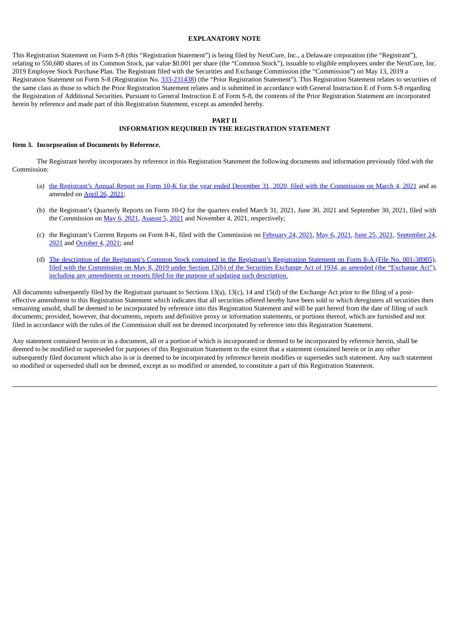#### **EXPLANATORY NOTE**

This Registration Statement on Form S-8 (this "Registration Statement") is being filed by NextCure, Inc., a Delaware corporation (the "Registrant"), relating to 550,680 shares of its Common Stock, par value \$0.001 per share (the "Common Stock"), issuable to eligible employees under the NextCure, Inc. 2019 Employee Stock Purchase Plan. The Registrant filed with the Securities and Exchange Commission (the "Commission") on May 13, 2019 a Registration Statement on Form S-8 (Registration No. [333-231438\)](https://www.sec.gov/Archives/edgar/data/0001661059/000110465919029017/a19-3387_11s8.htm) (the "Prior Registration Statement"). This Registration Statement relates to securities of the same class as those to which the Prior Registration Statement relates and is submitted in accordance with General Instruction E of Form S-8 regarding the Registration of Additional Securities. Pursuant to General Instruction E of Form S-8, the contents of the Prior Registration Statement are incorporated herein by reference and made part of this Registration Statement, except as amended hereby.

#### **PART II**

### **INFORMATION REQUIRED IN THE REGISTRATION STATEMENT**

#### **Item 3. Incorporation of Documents by Reference.**

The Registrant hereby incorporates by reference in this Registration Statement the following documents and information previously filed with the Commission:

- (a) the Registrant's Annual Report on Form 10-K for the year ended December 31, 2020, filed with the [Commission](http://www.sec.gov/Archives/edgar/data/1661059/000155837021002384/nxtc-20201231x10k.htm) on March 4, 2021 and as amended on April 26, [2021;](http://www.sec.gov/Archives/edgar/data/1661059/000110465921054980/tm2113858d1_10ka.htm)
- (b) the Registrant's Quarterly Reports on Form 10-Q for the quarters ended March 31, 2021, June 30, 2021 and September 30, 2021, filed with the Commission on May 6, [2021,](http://www.sec.gov/Archives/edgar/data/1661059/000155837021006266/nxtc-20210331x10q.htm) [August](http://www.sec.gov/ix?doc=/Archives/edgar/data/1661059/000155837021010578/nxtc-20210630x10q.htm) 5, 2021 and November 4, 2021, respectively;
- (c) the Registrant's Current Reports on Form 8-K, filed with the [Commission](http://www.sec.gov/ix?doc=/Archives/edgar/data/1661059/000110465921119299/tm2128375d1_8k.htm) on [February](http://www.sec.gov/Archives/edgar/data/0001661059/000110465921027570/tm217883d1_8k.htm) 24, 2021, May 6, [2021,](http://www.sec.gov/Archives/edgar/data/0001661059/000110465921062513/tm2115384d1_8k.htm) June 25, [2021,](http://www.sec.gov/Archives/edgar/data/0001661059/000110465921085703/tm2120703d1_8k.htm) September 24, 2021 and [October](http://www.sec.gov/ix?doc=/Archives/edgar/data/1661059/000110465921122499/tm2129158d1_8k.htm) 4, 2021; and
- (d) The description of the Registrant's Common Stock contained in the Registrant's Registration Statement on Form 8-A (File No. 001-38905), filed with the [Commission](http://www.sec.gov/Archives/edgar/data/1661059/000110465919027670/a19-3387_98a12b.htm) on May 8, 2019 under Section 12(b) of the Securities Exchange Act of 1934, as amended (the "Exchange Act"), including any amendments or reports filed for the purpose of updating such description.

All documents subsequently filed by the Registrant pursuant to Sections 13(a), 13(c), 14 and 15(d) of the Exchange Act prior to the filing of a posteffective amendment to this Registration Statement which indicates that all securities offered hereby have been sold or which deregisters all securities then remaining unsold, shall be deemed to be incorporated by reference into this Registration Statement and will be part hereof from the date of filing of such documents; provided, however, that documents, reports and definitive proxy or information statements, or portions thereof, which are furnished and not filed in accordance with the rules of the Commission shall not be deemed incorporated by reference into this Registration Statement.

Any statement contained herein or in a document, all or a portion of which is incorporated or deemed to be incorporated by reference herein, shall be deemed to be modified or superseded for purposes of this Registration Statement to the extent that a statement contained herein or in any other subsequently filed document which also is or is deemed to be incorporated by reference herein modifies or supersedes such statement. Any such statement so modified or superseded shall not be deemed, except as so modified or amended, to constitute a part of this Registration Statement.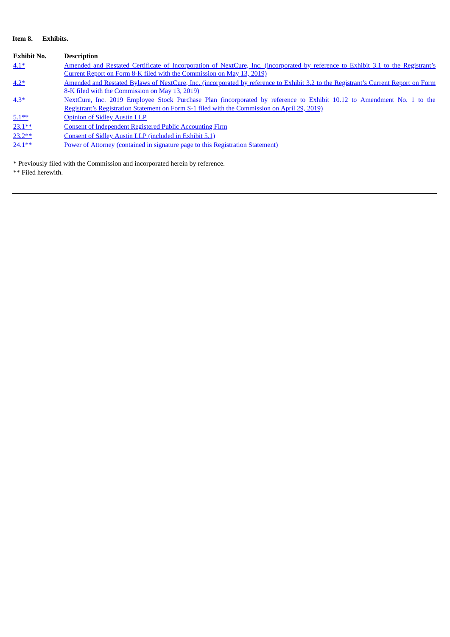## **Item 8. Exhibits.**

| <b>Exhibit No.</b> | <b>Description</b>                                                                                                                 |
|--------------------|------------------------------------------------------------------------------------------------------------------------------------|
| $4.1*$             | Amended and Restated Certificate of Incorporation of NextCure, Inc. (incorporated by reference to Exhibit 3.1 to the Registrant's  |
|                    | Current Report on Form 8-K filed with the Commission on May 13, 2019)                                                              |
| $4.2*$             | Amended and Restated Bylaws of NextCure, Inc. (incorporated by reference to Exhibit 3.2 to the Registrant's Current Report on Form |
|                    | 8-K filed with the Commission on May 13, 2019).                                                                                    |
| $4.3*$             | NextCure, Inc. 2019 Employee Stock Purchase Plan (incorporated by reference to Exhibit 10.12 to Amendment No. 1 to the             |
|                    | Registrant's Registration Statement on Form S-1 filed with the Commission on April 29, 2019).                                      |
| $5.1***$           | <b>Opinion of Sidley Austin LLP</b>                                                                                                |
| $23.1**$           | <b>Consent of Independent Registered Public Accounting Firm</b>                                                                    |
| $23.2**$           | Consent of Sidley Austin LLP (included in Exhibit 5.1)                                                                             |
| $24.1**$           | Power of Attorney (contained in signature page to this Registration Statement)                                                     |

\* Previously filed with the Commission and incorporated herein by reference.

\*\* Filed herewith.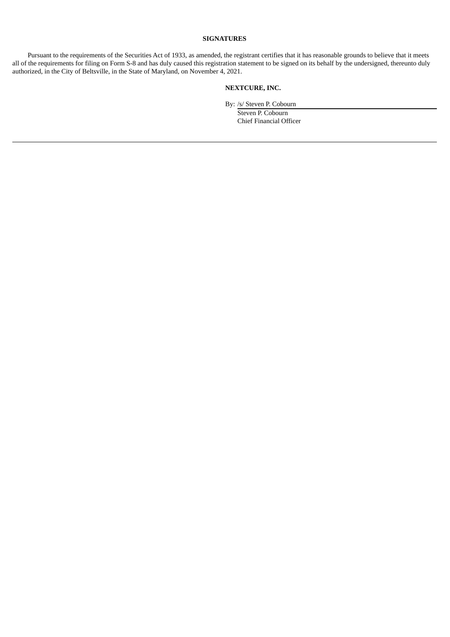#### **SIGNATURES**

<span id="page-4-0"></span>Pursuant to the requirements of the Securities Act of 1933, as amended, the registrant certifies that it has reasonable grounds to believe that it meets all of the requirements for filing on Form S-8 and has duly caused this registration statement to be signed on its behalf by the undersigned, thereunto duly authorized, in the City of Beltsville, in the State of Maryland, on November 4, 2021.

## **NEXTCURE, INC.**

By: /s/ Steven P. Cobourn

Steven P. Cobourn Chief Financial Officer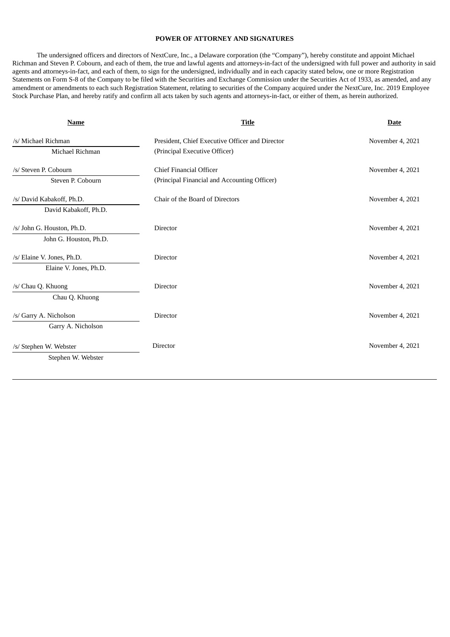### **POWER OF ATTORNEY AND SIGNATURES**

The undersigned officers and directors of NextCure, Inc., a Delaware corporation (the "Company"), hereby constitute and appoint Michael Richman and Steven P. Cobourn, and each of them, the true and lawful agents and attorneys-in-fact of the undersigned with full power and authority in said agents and attorneys-in-fact, and each of them, to sign for the undersigned, individually and in each capacity stated below, one or more Registration Statements on Form S-8 of the Company to be filed with the Securities and Exchange Commission under the Securities Act of 1933, as amended, and any amendment or amendments to each such Registration Statement, relating to securities of the Company acquired under the NextCure, Inc. 2019 Employee Stock Purchase Plan, and hereby ratify and confirm all acts taken by such agents and attorneys-in-fact, or either of them, as herein authorized.

| <b>Name</b>                | <b>Title</b>                                    | <b>Date</b>      |
|----------------------------|-------------------------------------------------|------------------|
| /s/ Michael Richman        | President, Chief Executive Officer and Director | November 4, 2021 |
| Michael Richman            | (Principal Executive Officer)                   |                  |
| /s/ Steven P. Cobourn      | <b>Chief Financial Officer</b>                  | November 4, 2021 |
| Steven P. Cobourn          | (Principal Financial and Accounting Officer)    |                  |
| /s/ David Kabakoff, Ph.D.  | Chair of the Board of Directors                 | November 4, 2021 |
| David Kabakoff, Ph.D.      |                                                 |                  |
| /s/ John G. Houston, Ph.D. | Director                                        | November 4, 2021 |
| John G. Houston, Ph.D.     |                                                 |                  |
| /s/ Elaine V. Jones, Ph.D. | <b>Director</b>                                 | November 4, 2021 |
| Elaine V. Jones, Ph.D.     |                                                 |                  |
| /s/ Chau Q. Khuong         | <b>Director</b>                                 | November 4, 2021 |
| Chau Q. Khuong             |                                                 |                  |
| /s/ Garry A. Nicholson     | Director                                        | November 4, 2021 |
| Garry A. Nicholson         |                                                 |                  |
| /s/ Stephen W. Webster     | Director                                        | November 4, 2021 |
| Stephen W. Webster         |                                                 |                  |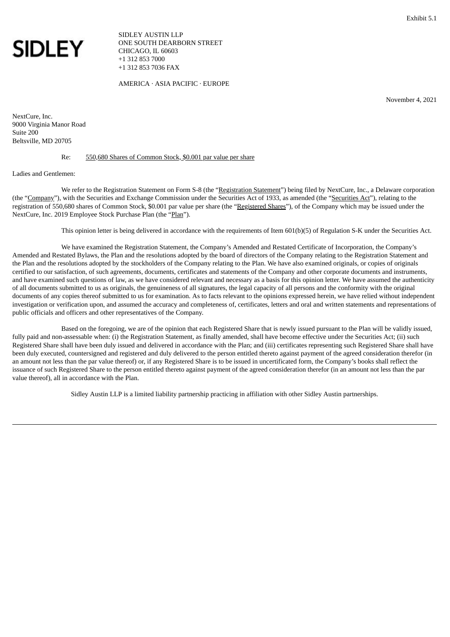<span id="page-6-0"></span>

SIDLEY AUSTIN LLP ONE SOUTH DEARBORN STREET CHICAGO, IL 60603 +1 312 853 7000 +1 312 853 7036 FAX

AMERICA · ASIA PACIFIC · EUROPE

November 4, 2021

NextCure, Inc. 9000 Virginia Manor Road Suite 200 Beltsville, MD 20705

#### Re: 550,680 Shares of Common Stock, \$0.001 par value per share

#### Ladies and Gentlemen:

We refer to the Registration Statement on Form S-8 (the "Registration Statement") being filed by NextCure, Inc., a Delaware corporation (the "Company"), with the Securities and Exchange Commission under the Securities Act of 1933, as amended (the "Securities Act"), relating to the registration of 550,680 shares of Common Stock, \$0.001 par value per share (the "Registered Shares"), of the Company which may be issued under the NextCure, Inc. 2019 Employee Stock Purchase Plan (the "Plan").

This opinion letter is being delivered in accordance with the requirements of Item 601(b)(5) of Regulation S-K under the Securities Act.

We have examined the Registration Statement, the Company's Amended and Restated Certificate of Incorporation, the Company's Amended and Restated Bylaws, the Plan and the resolutions adopted by the board of directors of the Company relating to the Registration Statement and the Plan and the resolutions adopted by the stockholders of the Company relating to the Plan. We have also examined originals, or copies of originals certified to our satisfaction, of such agreements, documents, certificates and statements of the Company and other corporate documents and instruments, and have examined such questions of law, as we have considered relevant and necessary as a basis for this opinion letter. We have assumed the authenticity of all documents submitted to us as originals, the genuineness of all signatures, the legal capacity of all persons and the conformity with the original documents of any copies thereof submitted to us for examination. As to facts relevant to the opinions expressed herein, we have relied without independent investigation or verification upon, and assumed the accuracy and completeness of, certificates, letters and oral and written statements and representations of public officials and officers and other representatives of the Company.

Based on the foregoing, we are of the opinion that each Registered Share that is newly issued pursuant to the Plan will be validly issued, fully paid and non-assessable when: (i) the Registration Statement, as finally amended, shall have become effective under the Securities Act; (ii) such Registered Share shall have been duly issued and delivered in accordance with the Plan; and (iii) certificates representing such Registered Share shall have been duly executed, countersigned and registered and duly delivered to the person entitled thereto against payment of the agreed consideration therefor (in an amount not less than the par value thereof) or, if any Registered Share is to be issued in uncertificated form, the Company's books shall reflect the issuance of such Registered Share to the person entitled thereto against payment of the agreed consideration therefor (in an amount not less than the par value thereof), all in accordance with the Plan.

Sidley Austin LLP is a limited liability partnership practicing in affiliation with other Sidley Austin partnerships.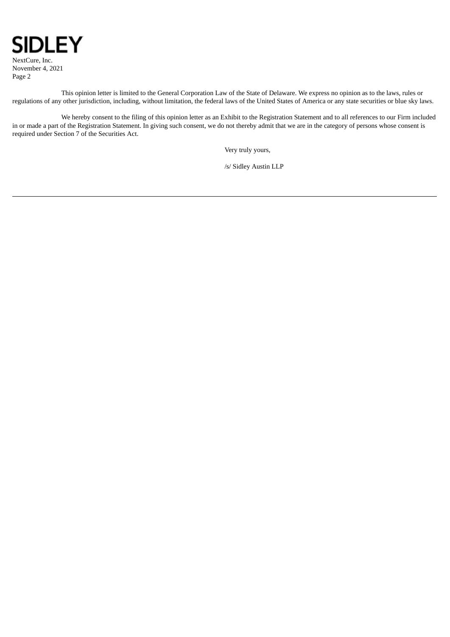

NextCure, Inc. November 4, 2021 Page 2

This opinion letter is limited to the General Corporation Law of the State of Delaware. We express no opinion as to the laws, rules or regulations of any other jurisdiction, including, without limitation, the federal laws of the United States of America or any state securities or blue sky laws.

We hereby consent to the filing of this opinion letter as an Exhibit to the Registration Statement and to all references to our Firm included in or made a part of the Registration Statement. In giving such consent, we do not thereby admit that we are in the category of persons whose consent is required under Section 7 of the Securities Act.

Very truly yours,

/s/ Sidley Austin LLP